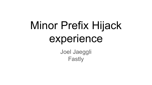# Minor Prefix Hijack experience

Joel Jaeggli Fastly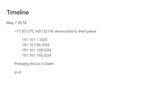#### **Timeline**

May 7 2018

~17:50 UTC AS132116 announces to their peers

151.101.1.0/24 151.101.65.0/24 151.101.129.0/24 151.101.193.0/24

Probably this is in Delhi

#### ಠ~ಠ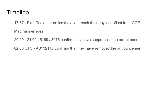#### Timeline

17:57 - First Customer notice they can reach their anycast offset from GCE.

Mad rush ensues

20:00 - 21:00 15169 / 8075 confirm they have suppressed the errant peer.

02:30 UTC - AS132116 confirms that they have removed the announcement.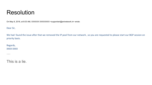#### Resolution

On May 8, 2018, at 8:03 AM, XXXXXX XXXXXXX <supportani@aninetwork.in> wrote:

Dear Sir,

We had found the issue after that we removed the IP pool from our network, so you are requested to please start our BGP session on priority basis.

Regards, XXXX XXXX

…

This is a lie.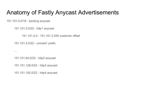## Anatomy of Fastly Anycast Advertisements

151.101.0.0/16 - backing anycast

…

151.101.0.0/22 - http1 anycast

151.101.0.0 - 151.101.3.255 customer offset

151.101.4.0/22 - unicast1 prefix

151.101.64.0/22 - http2 anycast

151.101.128.0/22 - http3 anycast

151.101.192.0/22 - http4 anycast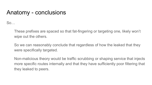#### Anatomy - conclusions

So…

These prefixes are spaced so that fat-fingering or targeting one, likely won't wipe out the others.

So we can reasonably conclude that regardless of how the leaked that they were specifically targeted.

Non-malicious theory would be traffic scrubbing or shaping service that injects more specific routes internally and that they have sufficiently poor filtering that they leaked to peers.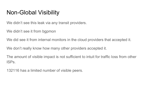# Non-Global Visibility

We didn't see this leak via any transit providers.

We didn't see it from bgpmon

We did see it from internal monitors in the cloud providers that accepted it.

We don't really know how many other providers accepted it.

The amount of visible impact is not sufficient to intuit for traffic loss from other ISPs.

132116 has a limited number of visible peers.